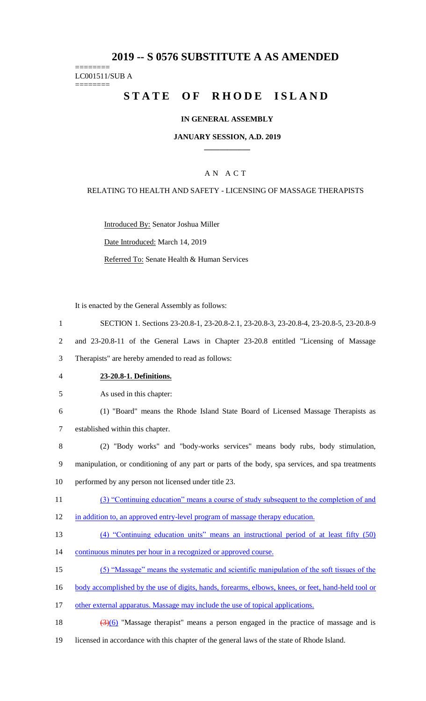# **2019 -- S 0576 SUBSTITUTE A AS AMENDED**

# ======== LC001511/SUB A

========

# STATE OF RHODE ISLAND

# **IN GENERAL ASSEMBLY**

## **JANUARY SESSION, A.D. 2019 \_\_\_\_\_\_\_\_\_\_\_\_**

# A N A C T

## RELATING TO HEALTH AND SAFETY - LICENSING OF MASSAGE THERAPISTS

Introduced By: Senator Joshua Miller

Date Introduced: March 14, 2019

Referred To: Senate Health & Human Services

It is enacted by the General Assembly as follows:

- 1 SECTION 1. Sections 23-20.8-1, 23-20.8-2.1, 23-20.8-3, 23-20.8-4, 23-20.8-5, 23-20.8-9 2 and 23-20.8-11 of the General Laws in Chapter 23-20.8 entitled "Licensing of Massage 3 Therapists" are hereby amended to read as follows: 4 **23-20.8-1. Definitions.** 5 As used in this chapter: 6 (1) "Board" means the Rhode Island State Board of Licensed Massage Therapists as 7 established within this chapter. 8 (2) "Body works" and "body-works services" means body rubs, body stimulation, 9 manipulation, or conditioning of any part or parts of the body, spa services, and spa treatments 10 performed by any person not licensed under title 23. 11 (3) "Continuing education" means a course of study subsequent to the completion of and 12 in addition to, an approved entry-level program of massage therapy education. 13 (4) "Continuing education units" means an instructional period of at least fifty (50) 14 continuous minutes per hour in a recognized or approved course. 15 (5) "Massage" means the systematic and scientific manipulation of the soft tissues of the 16 body accomplished by the use of digits, hands, forearms, elbows, knees, or feet, hand-held tool or 17 other external apparatus. Massage may include the use of topical applications. 18  $(3)(6)$  "Massage therapist" means a person engaged in the practice of massage and is
- 19 licensed in accordance with this chapter of the general laws of the state of Rhode Island.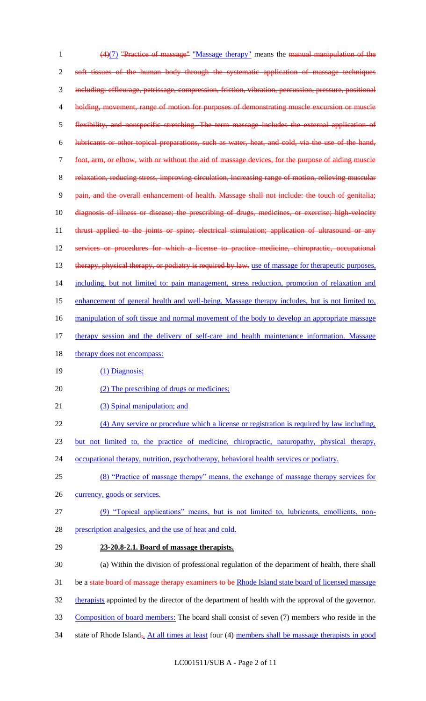1 (4)(7) "Practice of massage" "Massage therapy" means the manual manipulation of the 2 soft tissues of the human body through the systematic application of massage techniques 3 including: effleurage, petrissage, compression, friction, vibration, percussion, pressure, positional 4 holding, movement, range of motion for purposes of demonstrating muscle excursion or muscle 5 flexibility, and nonspecific stretching. The term massage includes the external application of 6 lubricants or other topical preparations, such as water, heat, and cold, via the use of the hand, 7 foot, arm, or elbow, with or without the aid of massage devices, for the purpose of aiding muscle 8 relaxation, reducing stress, improving circulation, increasing range of motion, relieving muscular 9 pain, and the overall enhancement of health. Massage shall not include: the touch of genitalia; 10 diagnosis of illness or disease; the prescribing of drugs, medicines, or exercise; high-velocity 11 thrust applied to the joints or spine; electrical stimulation; application of ultrasound or any 12 services or procedures for which a license to practice medicine, chiropractic, occupational 13 therapy, physical therapy, or podiatry is required by law. use of massage for therapeutic purposes, 14 including, but not limited to: pain management, stress reduction, promotion of relaxation and 15 enhancement of general health and well-being. Massage therapy includes, but is not limited to, 16 manipulation of soft tissue and normal movement of the body to develop an appropriate massage 17 therapy session and the delivery of self-care and health maintenance information. Massage 18 therapy does not encompass: 19 (1) Diagnosis; 20 (2) The prescribing of drugs or medicines; 21 (3) Spinal manipulation; and 22 (4) Any service or procedure which a license or registration is required by law including, 23 but not limited to, the practice of medicine, chiropractic, naturopathy, physical therapy, 24 occupational therapy, nutrition, psychotherapy, behavioral health services or podiatry. 25 (8) "Practice of massage therapy" means, the exchange of massage therapy services for 26 currency, goods or services. 27 (9) "Topical applications" means, but is not limited to, lubricants, emollients, non-28 prescription analgesics, and the use of heat and cold. 29 **23-20.8-2.1. Board of massage therapists.** 30 (a) Within the division of professional regulation of the department of health, there shall 31 be a state board of massage therapy examiners to be Rhode Island state board of licensed massage 32 therapists appointed by the director of the department of health with the approval of the governor. 33 Composition of board members: The board shall consist of seven (7) members who reside in the 34 state of Rhode Island<sub>5</sub>. At all times at least four (4) members shall be massage therapists in good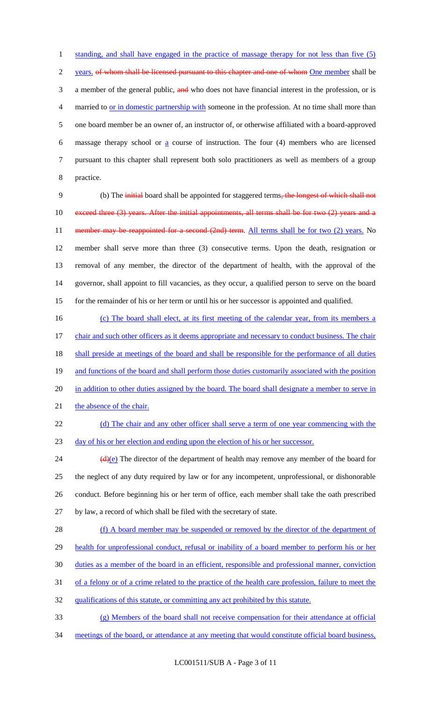1 standing, and shall have engaged in the practice of massage therapy for not less than five (5) 2 years, of whom shall be licensed pursuant to this chapter and one of whom One member shall be 3 a member of the general public, and who does not have financial interest in the profession, or is married to or in domestic partnership with someone in the profession. At no time shall more than one board member be an owner of, an instructor of, or otherwise affiliated with a board-approved massage therapy school or a course of instruction. The four (4) members who are licensed pursuant to this chapter shall represent both solo practitioners as well as members of a group practice.

9 (b) The initial board shall be appointed for staggered terms, the longest of which shall not 10 exceed three (3) years. After the initial appointments, all terms shall be for two (2) years and a 11 member may be reappointed for a second (2nd) term. All terms shall be for two (2) years. No 12 member shall serve more than three (3) consecutive terms. Upon the death, resignation or 13 removal of any member, the director of the department of health, with the approval of the 14 governor, shall appoint to fill vacancies, as they occur, a qualified person to serve on the board 15 for the remainder of his or her term or until his or her successor is appointed and qualified.

16 (c) The board shall elect, at its first meeting of the calendar year, from its members a 17 chair and such other officers as it deems appropriate and necessary to conduct business. The chair 18 shall preside at meetings of the board and shall be responsible for the performance of all duties 19 and functions of the board and shall perform those duties customarily associated with the position 20 in addition to other duties assigned by the board. The board shall designate a member to serve in 21 the absence of the chair.

22 (d) The chair and any other officer shall serve a term of one year commencing with the 23 day of his or her election and ending upon the election of his or her successor.

 $(d)(e)$  The director of the department of health may remove any member of the board for the neglect of any duty required by law or for any incompetent, unprofessional, or dishonorable conduct. Before beginning his or her term of office, each member shall take the oath prescribed by law, a record of which shall be filed with the secretary of state.

28 (f) A board member may be suspended or removed by the director of the department of 29 health for unprofessional conduct, refusal or inability of a board member to perform his or her 30 duties as a member of the board in an efficient, responsible and professional manner, conviction 31 of a felony or of a crime related to the practice of the health care profession, failure to meet the

- 32 qualifications of this statute, or committing any act prohibited by this statute.
- 33 (g) Members of the board shall not receive compensation for their attendance at official
- 34 meetings of the board, or attendance at any meeting that would constitute official board business,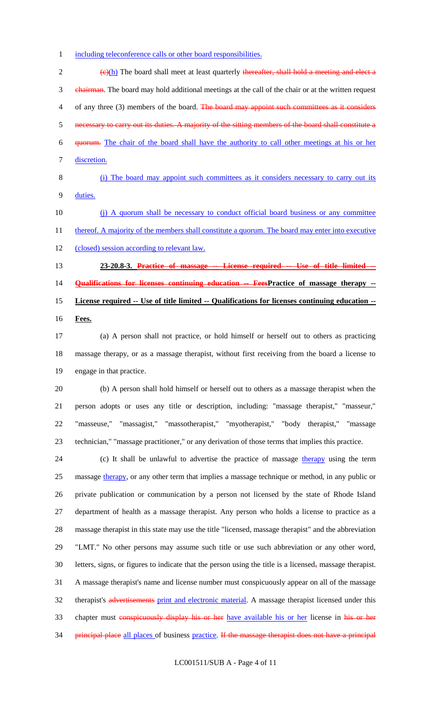including teleconference calls or other board responsibilities.

 $\frac{1}{2}$  (e)(h) The board shall meet at least quarterly thereafter, shall hold a meeting and elect a 3 chairman. The board may hold additional meetings at the call of the chair or at the written request 4 of any three (3) members of the board. The board may appoint such committees as it considers necessary to carry out its duties. A majority of the sitting members of the board shall constitute a quorum. The chair of the board shall have the authority to call other meetings at his or her discretion. (i) The board may appoint such committees as it considers necessary to carry out its duties. (j) A quorum shall be necessary to conduct official board business or any committee 11 thereof. A majority of the members shall constitute a quorum. The board may enter into executive 12 (closed) session according to relevant law. **23-20.8-3. Practice of massage -- License required -- Use of title limited -- Qualifications for licenses continuing education -- FeesPractice of massage therapy -- License required -- Use of title limited -- Qualifications for licenses continuing education -- Fees.** (a) A person shall not practice, or hold himself or herself out to others as practicing massage therapy, or as a massage therapist, without first receiving from the board a license to engage in that practice. (b) A person shall hold himself or herself out to others as a massage therapist when the person adopts or uses any title or description, including: "massage therapist," "masseur," "masseuse," "massagist," "massotherapist," "myotherapist," "body therapist," "massage technician," "massage practitioner," or any derivation of those terms that implies this practice. 24 (c) It shall be unlawful to advertise the practice of massage therapy using the term

 massage therapy, or any other term that implies a massage technique or method, in any public or private publication or communication by a person not licensed by the state of Rhode Island department of health as a massage therapist. Any person who holds a license to practice as a massage therapist in this state may use the title "licensed, massage therapist" and the abbreviation "LMT." No other persons may assume such title or use such abbreviation or any other word, letters, signs, or figures to indicate that the person using the title is a licensed, massage therapist. A massage therapist's name and license number must conspicuously appear on all of the massage 32 therapist's advertisements print and electronic material. A massage therapist licensed under this 33 chapter must conspicuously display his or her have available his or her license in his or her 34 principal place all places of business practice. If the massage therapist does not have a principal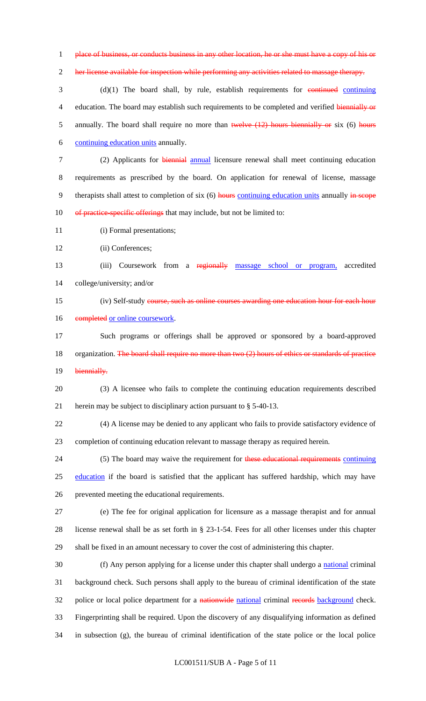1 place of business, or conducts business in any other location, he or she must have a copy of his or

2 her license available for inspection while performing any activities related to massage therapy.

3 (d)(1) The board shall, by rule, establish requirements for continuing continuing 4 education. The board may establish such requirements to be completed and verified biennially or 5 annually. The board shall require no more than twelve (12) hours biennially or six (6) hours 6 continuing education units annually.

7 (2) Applicants for biennial annual licensure renewal shall meet continuing education 8 requirements as prescribed by the board. On application for renewal of license, massage 9 therapists shall attest to completion of six (6) hours continuing education units annually in scope 10 of practice-specific offerings that may include, but not be limited to:

11 (i) Formal presentations;

12 (ii) Conferences;

13 (iii) Coursework from a regionally massage school or program, accredited 14 college/university; and/or

15 (iv) Self-study course, such as online courses awarding one education hour for each hour 16 completed or online coursework.

17 Such programs or offerings shall be approved or sponsored by a board-approved 18 organization. The board shall require no more than two (2) hours of ethics or standards of practice 19 biennially.

20 (3) A licensee who fails to complete the continuing education requirements described 21 herein may be subject to disciplinary action pursuant to § 5-40-13.

22 (4) A license may be denied to any applicant who fails to provide satisfactory evidence of 23 completion of continuing education relevant to massage therapy as required herein.

24 (5) The board may waive the requirement for these educational requirements continuing 25 education if the board is satisfied that the applicant has suffered hardship, which may have 26 prevented meeting the educational requirements.

27 (e) The fee for original application for licensure as a massage therapist and for annual 28 license renewal shall be as set forth in § 23-1-54. Fees for all other licenses under this chapter 29 shall be fixed in an amount necessary to cover the cost of administering this chapter.

30 (f) Any person applying for a license under this chapter shall undergo a national criminal 31 background check. Such persons shall apply to the bureau of criminal identification of the state 32 police or local police department for a nationwide national criminal records background check. 33 Fingerprinting shall be required. Upon the discovery of any disqualifying information as defined 34 in subsection (g), the bureau of criminal identification of the state police or the local police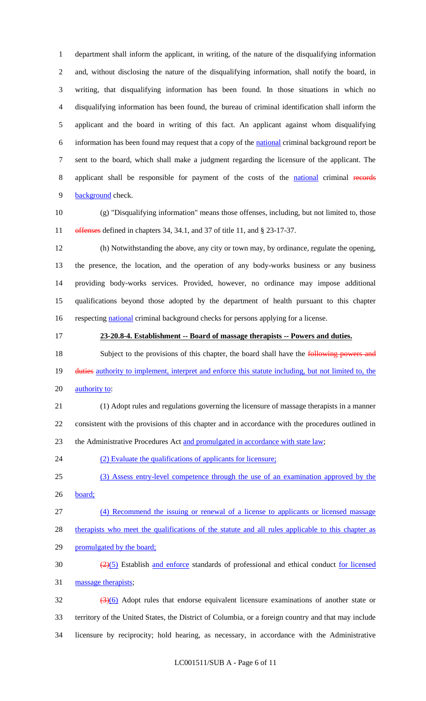department shall inform the applicant, in writing, of the nature of the disqualifying information and, without disclosing the nature of the disqualifying information, shall notify the board, in writing, that disqualifying information has been found. In those situations in which no disqualifying information has been found, the bureau of criminal identification shall inform the applicant and the board in writing of this fact. An applicant against whom disqualifying information has been found may request that a copy of the national criminal background report be sent to the board, which shall make a judgment regarding the licensure of the applicant. The applicant shall be responsible for payment of the costs of the national criminal records 9 background check.

 (g) "Disqualifying information" means those offenses, including, but not limited to, those 11 offenses defined in chapters 34, 34.1, and 37 of title 11, and § 23-17-37.

 (h) Notwithstanding the above, any city or town may, by ordinance, regulate the opening, the presence, the location, and the operation of any body-works business or any business providing body-works services. Provided, however, no ordinance may impose additional qualifications beyond those adopted by the department of health pursuant to this chapter 16 respecting national criminal background checks for persons applying for a license.

# **23-20.8-4. Establishment -- Board of massage therapists -- Powers and duties.**

18 Subject to the provisions of this chapter, the board shall have the **following powers and** 19 duties authority to implement, interpret and enforce this statute including, but not limited to, the 20 authority to:

 (1) Adopt rules and regulations governing the licensure of massage therapists in a manner consistent with the provisions of this chapter and in accordance with the procedures outlined in the Administrative Procedures Act and promulgated in accordance with state law;

24 (2) Evaluate the qualifications of applicants for licensure;

(3) Assess entry-level competence through the use of an examination approved by the

board;

(4) Recommend the issuing or renewal of a license to applicants or licensed massage

therapists who meet the qualifications of the statute and all rules applicable to this chapter as

promulgated by the board;

 $\frac{(2)(5)}{2}$  Establish and enforce standards of professional and ethical conduct for licensed 31 massage therapists;

 $\frac{(3)(6)}{2}$  Adopt rules that endorse equivalent licensure examinations of another state or territory of the United States, the District of Columbia, or a foreign country and that may include licensure by reciprocity; hold hearing, as necessary, in accordance with the Administrative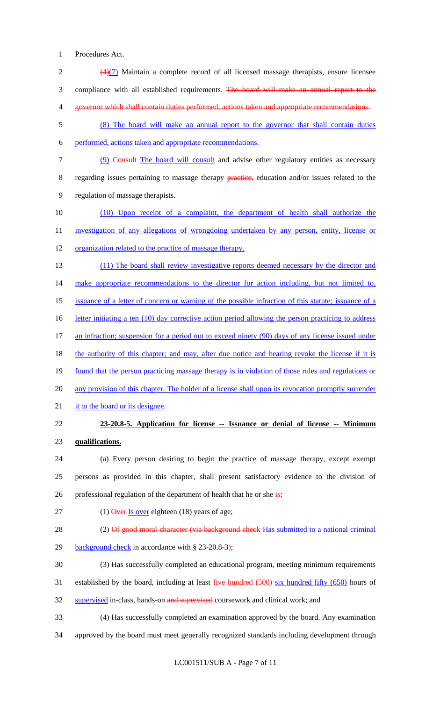1 Procedures Act.

- 2 (4)(7) Maintain a complete record of all licensed massage therapists, ensure licensee 3 compliance with all established requirements. The board will make an annual report to the 4 governor which shall contain duties performed, actions taken and appropriate recommendations. 5 (8) The board will make an annual report to the governor that shall contain duties 6 performed, actions taken and appropriate recommendations. 7 (9) Consult The board will consult and advise other regulatory entities as necessary 8 regarding issues pertaining to massage therapy **practice**, education and/or issues related to the 9 regulation of massage therapists. 10 (10) Upon receipt of a complaint, the department of health shall authorize the 11 investigation of any allegations of wrongdoing undertaken by any person, entity, license or 12 organization related to the practice of massage therapy. 13 (11) The board shall review investigative reports deemed necessary by the director and 14 make appropriate recommendations to the director for action including, but not limited to, 15 issuance of a letter of concern or warning of the possible infraction of this statute; issuance of a 16 letter initiating a ten (10) day corrective action period allowing the person practicing to address 17 an infraction; suspension for a period not to exceed ninety (90) days of any license issued under 18 the authority of this chapter; and may, after due notice and hearing revoke the license if it is 19 found that the person practicing massage therapy is in violation of those rules and regulations or 20 any provision of this chapter. The holder of a license shall upon its revocation promptly surrender 21 it to the board or its designee. 22 **23-20.8-5. Application for license -- Issuance or denial of license -- Minimum**  23 **qualifications.** 24 (a) Every person desiring to begin the practice of massage therapy, except exempt 25 persons as provided in this chapter, shall present satisfactory evidence to the division of 26 professional regulation of the department of health that he or she  $\frac{1}{15}$ : 27 (1) Over Is over eighteen (18) years of age; 28 (2) Of good moral character (via background check Has submitted to a national criminal 29 background check in accordance with § 23-20.8-3); 30 (3) Has successfully completed an educational program, meeting minimum requirements
- 31 established by the board, including at least five hundred (500) six hundred fifty (650) hours of
- 32 supervised in-class, hands-on and supervised coursework and clinical work; and
- 33 (4) Has successfully completed an examination approved by the board. Any examination
- 34 approved by the board must meet generally recognized standards including development through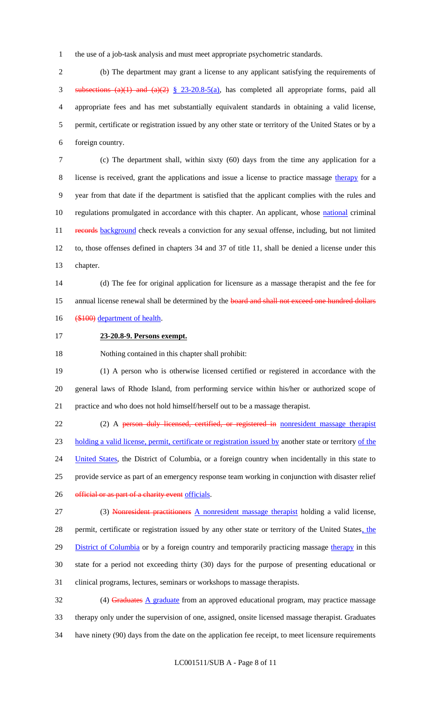the use of a job-task analysis and must meet appropriate psychometric standards.

 (b) The department may grant a license to any applicant satisfying the requirements of 3 subsections (a)(1) and (a)(2)  $\frac{8}{9}$  23-20.8-5(a), has completed all appropriate forms, paid all appropriate fees and has met substantially equivalent standards in obtaining a valid license, permit, certificate or registration issued by any other state or territory of the United States or by a foreign country.

 (c) The department shall, within sixty (60) days from the time any application for a license is received, grant the applications and issue a license to practice massage therapy for a year from that date if the department is satisfied that the applicant complies with the rules and 10 regulations promulgated in accordance with this chapter. An applicant, whose national criminal 11 records background check reveals a conviction for any sexual offense, including, but not limited to, those offenses defined in chapters 34 and 37 of title 11, shall be denied a license under this chapter.

 (d) The fee for original application for licensure as a massage therapist and the fee for 15 annual license renewal shall be determined by the board and shall not exceed one hundred dollars 16 (\$100) department of health.

**23-20.8-9. Persons exempt.**

Nothing contained in this chapter shall prohibit:

 (1) A person who is otherwise licensed certified or registered in accordance with the general laws of Rhode Island, from performing service within his/her or authorized scope of practice and who does not hold himself/herself out to be a massage therapist.

22 (2) A person duly licensed, certified, or registered in nonresident massage therapist holding a valid license, permit, certificate or registration issued by another state or territory of the 24 United States, the District of Columbia, or a foreign country when incidentally in this state to provide service as part of an emergency response team working in conjunction with disaster relief 26 official or as part of a charity event officials.

 (3) Nonresident practitioners A nonresident massage therapist holding a valid license, 28 permit, certificate or registration issued by any other state or territory of the United States, the 29 District of Columbia or by a foreign country and temporarily practicing massage therapy in this state for a period not exceeding thirty (30) days for the purpose of presenting educational or clinical programs, lectures, seminars or workshops to massage therapists.

32 (4) Graduates A graduate from an approved educational program, may practice massage therapy only under the supervision of one, assigned, onsite licensed massage therapist. Graduates have ninety (90) days from the date on the application fee receipt, to meet licensure requirements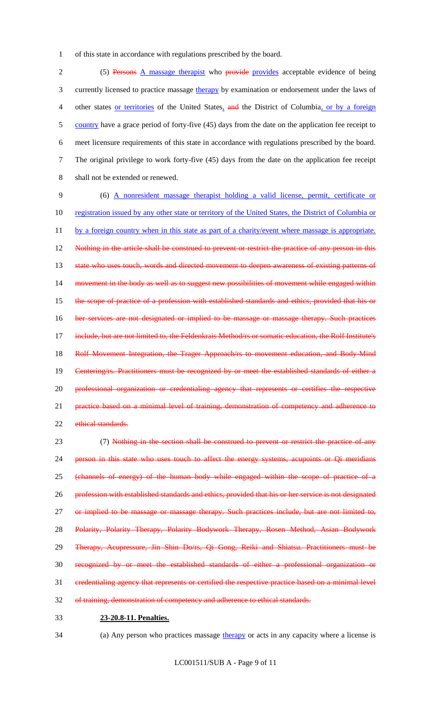1 of this state in accordance with regulations prescribed by the board.

2 (5) Persons A massage therapist who provide provides acceptable evidence of being 3 currently licensed to practice massage therapy by examination or endorsement under the laws of 4 other states or territories of the United States, and the District of Columbia, or by a foreign 5 country have a grace period of forty-five (45) days from the date on the application fee receipt to 6 meet licensure requirements of this state in accordance with regulations prescribed by the board. 7 The original privilege to work forty-five (45) days from the date on the application fee receipt 8 shall not be extended or renewed.

9 (6) A nonresident massage therapist holding a valid license, permit, certificate or 10 registration issued by any other state or territory of the United States, the District of Columbia or 11 by a foreign country when in this state as part of a charity/event where massage is appropriate. 12 Nothing in the article shall be construed to prevent or restrict the practice of any person in this 13 state who uses touch, words and directed movement to deepen awareness of existing patterns of 14 movement in the body as well as to suggest new possibilities of movement while engaged within 15 the scope of practice of a profession with established standards and ethics, provided that his or 16 her services are not designated or implied to be massage or massage therapy. Such practices 17 include, but are not limited to, the Feldenkrais Method/rs or somatic education, the Rolf Institute's 18 Rolf Movement Integration, the Trager Approach/rs to movement education, and Body-Mind 19 Centering/rs. Practitioners must be recognized by or meet the established standards of either a 20 professional organization or credentialing agency that represents or certifies the respective 21 practice based on a minimal level of training, demonstration of competency and adherence to 22 ethical standards.

23 (7) Nothing in the section shall be construed to prevent or restrict the practice of any 24 person in this state who uses touch to affect the energy systems, acupoints or Qi meridians 25 (channels of energy) of the human body while engaged within the scope of practice of a 26 profession with established standards and ethics, provided that his or her service is not designated 27 or implied to be massage or massage therapy. Such practices include, but are not limited to, 28 Polarity, Polarity Therapy, Polarity Bodywork Therapy, Rosen Method, Asian Bodywork 29 Therapy, Acupressure, Jin Shin Do/rs, Qi Gong, Reiki and Shiatsu. Practitioners must be 30 recognized by or meet the established standards of either a professional organization or 31 credentialing agency that represents or certified the respective practice based on a minimal level 32 of training, demonstration of competency and adherence to ethical standards.

## 33 **23-20.8-11. Penalties.**

34 (a) Any person who practices massage therapy or acts in any capacity where a license is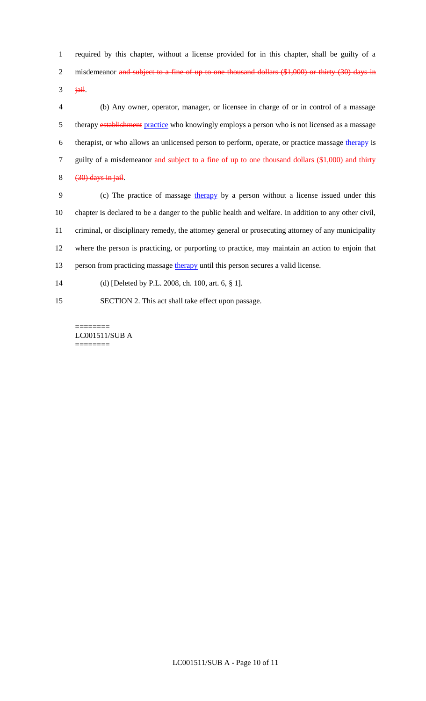1 required by this chapter, without a license provided for in this chapter, shall be guilty of a 2 misdemeanor and subject to a fine of up to one thousand dollars (\$1,000) or thirty (30) days in

 $3$  jail.

4 (b) Any owner, operator, manager, or licensee in charge of or in control of a massage 5 therapy establishment practice who knowingly employs a person who is not licensed as a massage 6 therapist, or who allows an unlicensed person to perform, operate, or practice massage therapy is 7 guilty of a misdemeanor and subject to a fine of up to one thousand dollars (\$1,000) and thirty  $8$   $(30)$  days in jail.

9 (c) The practice of massage therapy by a person without a license issued under this chapter is declared to be a danger to the public health and welfare. In addition to any other civil, criminal, or disciplinary remedy, the attorney general or prosecuting attorney of any municipality where the person is practicing, or purporting to practice, may maintain an action to enjoin that 13 person from practicing massage therapy until this person secures a valid license. (d) [Deleted by P.L. 2008, ch. 100, art. 6, § 1].

15 SECTION 2. This act shall take effect upon passage.

======== LC001511/SUB A ========